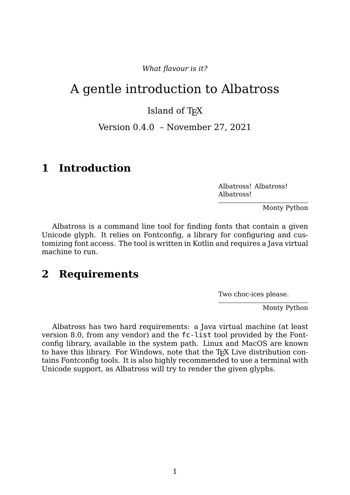*What flavour is it?*

# A gentle introduction to Albatross

#### Island of T<sub>F</sub>X

Version 0.4.0 – November 27, 2021

#### **1 Introduction**

Albatross! Albatross! Albatross!

Monty Python

Albatross is a command line tool for finding fonts that contain a given Unicode glyph. It relies on Fontconfig, a library for configuring and customizing font access. The tool is written in Kotlin and requires a Java virtual machine to run.

#### **2 Requirements**

Two choc-ices please.

Monty Python

Albatross has two hard requirements: a Java virtual machine (at least version 8.0, from any vendor) and the fc-list tool provided by the Fontconfig library, available in the system path. Linux and MacOS are known to have this library. For Windows, note that the T<sub>E</sub>X Live distribution contains Fontconfig tools. It is also highly recommended to use a terminal with Unicode support, as Albatross will try to render the given glyphs.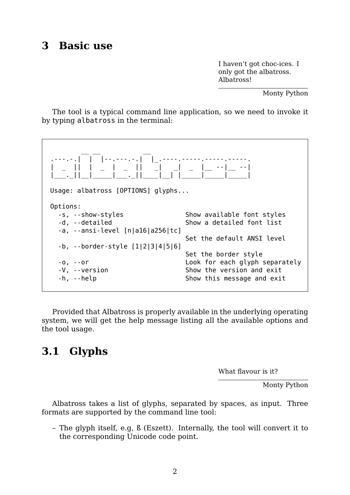#### **3 Basic use**

I haven't got choc-ices. I only got the albatross. Albatross!

Monty Python

The tool is a typical command line application, so we need to invoke it by typing albatross in the terminal:



Provided that Albatross is properly available in the underlying operating system, we will get the help message listing all the available options and the tool usage.

## **3.1 Glyphs**

What flavour is it?

Monty Python

Albatross takes a list of glyphs, separated by spaces, as input. Three formats are supported by the command line tool:

– The glyph itself, e.g, ß (Eszett). Internally, the tool will convert it to the corresponding Unicode code point.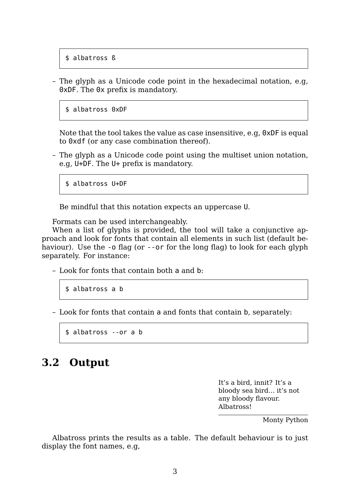\$ albatross ß

– The glyph as a Unicode code point in the hexadecimal notation, e.g, 0xDF. The 0x prefix is mandatory.

\$ albatross 0xDF

Note that the tool takes the value as case insensitive, e.g, 0xDF is equal to 0xdf (or any case combination thereof).

– The glyph as a Unicode code point using the multiset union notation, e.g, U+DF. The U+ prefix is mandatory.

\$ albatross U+DF

Be mindful that this notation expects an uppercase U.

Formats can be used interchangeably.

When a list of glyphs is provided, the tool will take a conjunctive approach and look for fonts that contain all elements in such list (default behaviour). Use the -o flag (or --or for the long flag) to look for each glyph separately. For instance:

– Look for fonts that contain both a and b:

```
$ albatross a b
```
– Look for fonts that contain a and fonts that contain b, separately:

\$ albatross --or a b

#### **3.2 Output**

It's a bird, innit? It's a bloody sea bird… it's not any bloody flavour. Albatross!

Monty Python

Albatross prints the results as a table. The default behaviour is to just display the font names, e.g,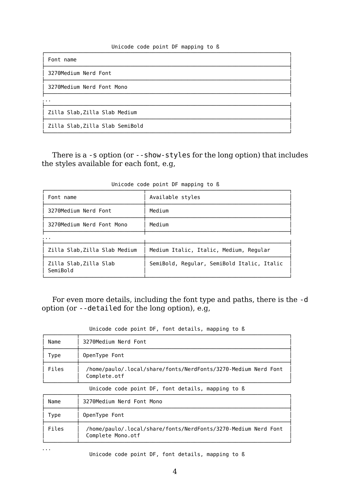#### Unicode code point DF mapping to ß

| Font name                       |  |  |
|---------------------------------|--|--|
| 3270Medium Nerd Font            |  |  |
| 3270Medium Nerd Font Mono       |  |  |
| $\cdots$                        |  |  |
| Zilla Slab, Zilla Slab Medium   |  |  |
| Zilla Slab, Zilla Slab SemiBold |  |  |

There is a -s option (or --show-styles for the long option) that includes the styles available for each font, e.g,

| Font name                          | Available styles                           |
|------------------------------------|--------------------------------------------|
| 3270Medium Nerd Font               | Medium                                     |
| 3270Medium Nerd Font Mono          | Medium                                     |
|                                    |                                            |
| Zilla Slab, Zilla Slab Medium      | Medium Italic, Italic, Medium, Regular     |
| Zilla Slab, Zilla Slab<br>SemiBold | SemiBold, Regular, SemiBold Italic, Italic |

Unicode code point DF mapping to ß

For even more details, including the font type and paths, there is the -d option (or --detailed for the long option), e.g,

| Name  | 3270Medium Nerd Font                                                           |
|-------|--------------------------------------------------------------------------------|
| Type  | OpenType Font                                                                  |
| Files | /home/paulo/.local/share/fonts/NerdFonts/3270-Medium Nerd Font<br>Complete.otf |

| Unicode code point DF, font details, mapping to ß |  |  |  |  |  |  |  |  |
|---------------------------------------------------|--|--|--|--|--|--|--|--|
|---------------------------------------------------|--|--|--|--|--|--|--|--|

| Name  | 3270Medium Nerd Font Mono                                                           |
|-------|-------------------------------------------------------------------------------------|
| Type  | OpenType Font                                                                       |
| Files | /home/paulo/.local/share/fonts/NerdFonts/3270-Medium Nerd Font<br>Complete Mono.otf |

...

Unicode code point DF, font details, mapping to ß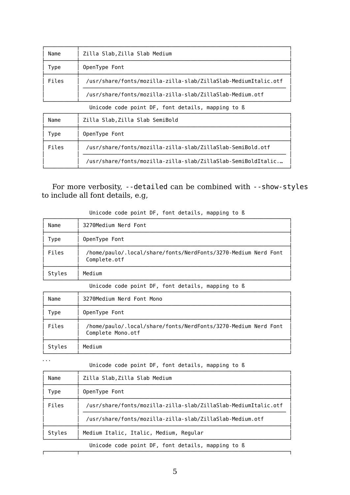| Name  | Zilla Slab, Zilla Slab Medium                                  |  |
|-------|----------------------------------------------------------------|--|
| Type  | OpenType Font                                                  |  |
| Files | /usr/share/fonts/mozilla-zilla-slab/ZillaSlab-MediumItalic.otf |  |
|       | /usr/share/fonts/mozilla-zilla-slab/ZillaSlab-Medium.otf       |  |

Unicode code point DF, font details, mapping to ß

| Name  | Zilla Slab, Zilla Slab SemiBold                              |  |
|-------|--------------------------------------------------------------|--|
| l ype | OpenType Font                                                |  |
| Files | /usr/share/fonts/mozilla-zilla-slab/ZillaSlab-SemiBold.otf   |  |
|       | /usr/share/fonts/mozilla-zilla-slab/ZillaSlab-SemiBoldItalic |  |

For more verbosity, --detailed can be combined with --show-styles to include all font details, e.g,

| Name   | 3270Medium Nerd Font                                                           |
|--------|--------------------------------------------------------------------------------|
| Type   | OpenType Font                                                                  |
| Files  | /home/paulo/.local/share/fonts/NerdFonts/3270-Medium Nerd Font<br>Complete.otf |
| Styles | Medium                                                                         |

Unicode code point DF, font details, mapping to ß

Unicode code point DF, font details, mapping to ß

| Name   | 3270Medium Nerd Font Mono                                                           |
|--------|-------------------------------------------------------------------------------------|
| Type   | OpenType Font                                                                       |
| Files  | /home/paulo/.local/share/fonts/NerdFonts/3270-Medium Nerd Font<br>Complete Mono.otf |
| Styles | Medium                                                                              |

...

Unicode code point DF, font details, mapping to ß

| Name   | Zilla Slab, Zilla Slab Medium                                  |  |  |
|--------|----------------------------------------------------------------|--|--|
| Type   | OpenType Font                                                  |  |  |
| Files  | /usr/share/fonts/mozilla-zilla-slab/ZillaSlab-MediumItalic.otf |  |  |
|        | /usr/share/fonts/mozilla-zilla-slab/ZillaSlab-Medium.otf       |  |  |
| Styles | Medium Italic, Italic, Medium, Regular                         |  |  |
|        | Unicode code point DF, font details, mapping to B              |  |  |
|        |                                                                |  |  |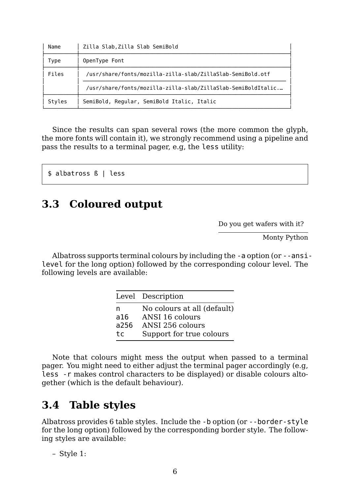| Name   | Zilla Slab, Zilla Slab SemiBold                              |
|--------|--------------------------------------------------------------|
| Type   | OpenType Font                                                |
| Files  | /usr/share/fonts/mozilla-zilla-slab/ZillaSlab-SemiBold.otf   |
|        | /usr/share/fonts/mozilla-zilla-slab/ZillaSlab-SemiBoldItalic |
| Styles | SemiBold, Regular, SemiBold Italic, Italic                   |

Since the results can span several rows (the more common the glyph, the more fonts will contain it), we strongly recommend using a pipeline and pass the results to a terminal pager, e.g, the less utility:

```
$ albatross ß | less
```
## **3.3 Coloured output**

Do you get wafers with it?

Monty Python

Albatross supports terminal colours by including the -a option (or --ansilevel for the long option) followed by the corresponding colour level. The following levels are available:

|      | Level Description           |
|------|-----------------------------|
| n    | No colours at all (default) |
| a16  | ANSI 16 colours             |
| a256 | ANSI 256 colours            |
| tc   | Support for true colours    |

Note that colours might mess the output when passed to a terminal pager. You might need to either adjust the terminal pager accordingly (e.g, less -r makes control characters to be displayed) or disable colours altogether (which is the default behaviour).

# **3.4 Table styles**

Albatross provides 6 table styles. Include the -b option (or --border-style for the long option) followed by the corresponding border style. The following styles are available:

– Style 1: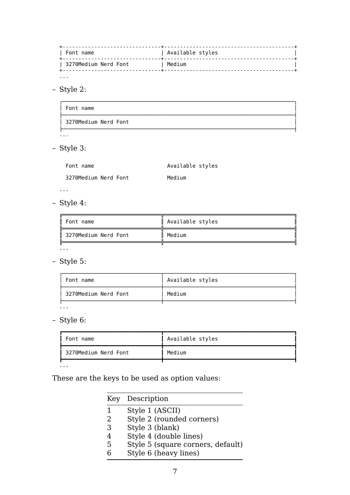| Font name <u>. . . . . . . .</u> . . . . . . . . . . . . . . . . .  $\overline{+}$ |<br>| 3270Medium Nerd Font | Medium  $\mathbf{I}$  $-+$  $\ddot{}$  $\sim 10$  .

- Style 2:

| Font name            |  |
|----------------------|--|
| 3270Medium Nerd Font |  |
| .                    |  |

- Style 3:

| Font name            | Available styles |
|----------------------|------------------|
| 3270Medium Nerd Font | Medium           |

 $\overline{1}$  ,  $\overline{1}$ 

- Style 4:

| Font name            | Available styles |
|----------------------|------------------|
| 3270Medium Nerd Font | Medium           |
| .                    |                  |

- Style 5:

| Available styles |
|------------------|
| Medium           |
|                  |

 $\sim 10$ 

- Style 6:

| Font name            | Available styles |
|----------------------|------------------|
| 3270Medium Nerd Font | Medium           |
|                      |                  |

 $\sim 10$ 

These are the keys to be used as option values:

|   | Key Description                   |
|---|-----------------------------------|
| 1 | Style 1 (ASCII)                   |
| 2 | Style 2 (rounded corners)         |
| 3 | Style 3 (blank)                   |
|   | Style 4 (double lines)            |
| 5 | Style 5 (square corners, default) |
|   | Style 6 (heavy lines)             |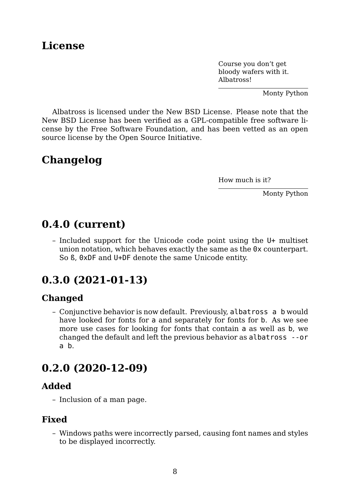### **License**

Course you don't get bloody wafers with it. Albatross!

Monty Python

Albatross is licensed under the New BSD License. Please note that the New BSD License has been verified as a GPL-compatible free software license by the Free Software Foundation, and has been vetted as an open source license by the Open Source Initiative.

## **Changelog**

How much is it?

Monty Python

# **0.4.0 (current)**

– Included support for the Unicode code point using the U+ multiset union notation, which behaves exactly the same as the 0x counterpart. So ß, 0xDF and U+DF denote the same Unicode entity.

# **0.3.0 (2021-01-13)**

#### **Changed**

– Conjunctive behavior is now default. Previously, albatross a b would have looked for fonts for a and separately for fonts for b. As we see more use cases for looking for fonts that contain a as well as b, we changed the default and left the previous behavior as albatross --or a b.

## **0.2.0 (2020-12-09)**

#### **Added**

– Inclusion of a man page.

#### **Fixed**

– Windows paths were incorrectly parsed, causing font names and styles to be displayed incorrectly.